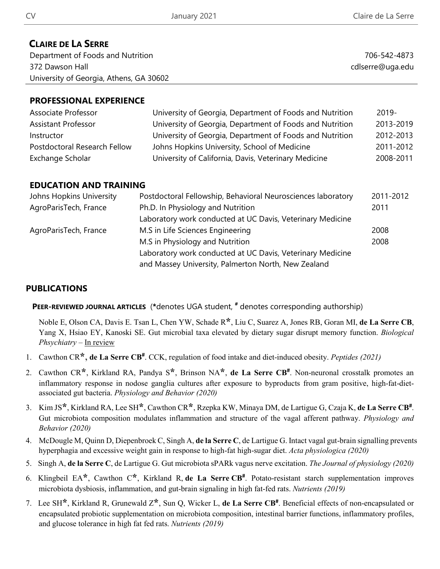# **CLAIRE DE LA SERRE**

Department of Foods and Nutrition 372 Dawson Hall University of Georgia, Athens, GA 30602

706-542-4873 cdlserre@uga.edu

# **PROFESSIONAL EXPERIENCE**

| Associate Professor          | University of Georgia, Department of Foods and Nutrition | 2019-     |
|------------------------------|----------------------------------------------------------|-----------|
| <b>Assistant Professor</b>   | University of Georgia, Department of Foods and Nutrition | 2013-2019 |
| Instructor                   | University of Georgia, Department of Foods and Nutrition | 2012-2013 |
| Postdoctoral Research Fellow | Johns Hopkins University, School of Medicine             | 2011-2012 |
| Exchange Scholar             | University of California, Davis, Veterinary Medicine     | 2008-2011 |

### **EDUCATION AND TRAINING**

| Johns Hopkins University | Postdoctoral Fellowship, Behavioral Neurosciences laboratory | 2011-2012 |  |
|--------------------------|--------------------------------------------------------------|-----------|--|
| AgroParisTech, France    | Ph.D. In Physiology and Nutrition                            | 2011      |  |
|                          | Laboratory work conducted at UC Davis, Veterinary Medicine   |           |  |
| AgroParisTech, France    | M.S in Life Sciences Engineering                             | 2008      |  |
|                          | M.S in Physiology and Nutrition                              | 2008      |  |
|                          | Laboratory work conducted at UC Davis, Veterinary Medicine   |           |  |
|                          | and Massey University, Palmerton North, New Zealand          |           |  |

# **PUBLICATIONS**

### **PEER-REVIEWED JOURNAL ARTICLES** (**\***denotes UGA student, **#** denotes corresponding authorship)

Noble E, Olson CA, Davis E. Tsan L, Chen YW, Schade R**\***, Liu C, Suarez A, Jones RB, Goran MI, **de La Serre CB**, Yang X, Hsiao EY, Kanoski SE. Gut microbial taxa elevated by dietary sugar disrupt memory function. *Biological Phsychiatry* – In review

- 1. Cawthon CR**\***, **de La Serre CB#** . CCK, regulation of food intake and diet-induced obesity. *Peptides (2021)*
- 2. Cawthon CR**\***, Kirkland RA, Pandya S**\***, Brinson NA**\***, **de La Serre CB#**. Non-neuronal crosstalk promotes an inflammatory response in nodose ganglia cultures after exposure to byproducts from gram positive, high-fat-dietassociated gut bacteria. *Physiology and Behavior (2020)*
- 3. Kim JS**\***, Kirkland RA, Lee SH**\***, Cawthon CR**\***, Rzepka KW, Minaya DM, de Lartigue G, Czaja K, **de La Serre CB#** . Gut microbiota composition modulates inflammation and structure of the vagal afferent pathway. *Physiology and Behavior (2020)*
- 4. McDougle M, Quinn D, Diepenbroek C, Singh A, **de la Serre C**, de Lartigue G. Intact vagal gut-brain signalling prevents hyperphagia and excessive weight gain in response to high-fat high-sugar diet. *Acta physiologica (2020)*
- 5. Singh A, **de la Serre C**, de Lartigue G. Gut microbiota sPARk vagus nerve excitation. *The Journal of physiology (2020)*
- 6. Klingbeil EA**\***, Cawthon C**\***, Kirkland R, **de La Serre CB#** . Potato-resistant starch supplementation improves microbiota dysbiosis, inflammation, and gut-brain signaling in high fat-fed rats. *Nutrients (2019)*
- 7. Lee SH**\***, Kirkland R, Grunewald Z**\***, Sun Q, Wicker L, **de La Serre CB#** . Beneficial effects of non-encapsulated or encapsulated probiotic supplementation on microbiota composition, intestinal barrier functions, inflammatory profiles, and glucose tolerance in high fat fed rats. *Nutrients (2019)*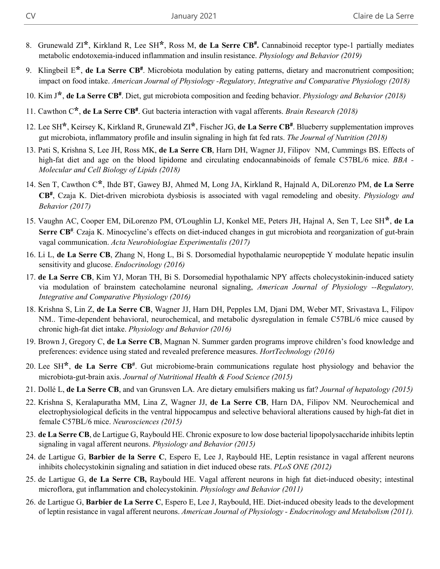- 8. Grunewald ZI**\***, Kirkland R, Lee SH**\***, Ross M, **de La Serre CB#.** Cannabinoid receptor type-1 partially mediates metabolic endotoxemia-induced inflammation and insulin resistance. *Physiology and Behavior (2019)*
- 9. Klingbeil E**\***, **de La Serre CB#** . Microbiota modulation by eating patterns, dietary and macronutrient composition; impact on food intake. *American Journal of Physiology -Regulatory, Integrative and Comparative Physiology (2018)*
- 10. Kim J**\***, **de La Serre CB#**. Diet, gut microbiota composition and feeding behavior. *Physiology and Behavior (2018)*
- 11. Cawthon C**\***, **de La Serre CB#**. Gut bacteria interaction with vagal afferents. *Brain Research (2018)*
- 12. Lee SH**\***, Keirsey K, Kirkland R, Grunewald ZI**\***, Fischer JG, **de La Serre CB#**. Blueberry supplementation improves gut microbiota, inflammatory profile and insulin signaling in high fat fed rats. *The Journal of Nutrition (2018)*
- 13. Pati S, Krishna S, Lee JH, Ross MK, **de La Serre CB**, Harn DH, Wagner JJ, Filipov NM, Cummings BS. Effects of high-fat diet and age on the blood lipidome and circulating endocannabinoids of female C57BL/6 mice. *BBA - Molecular and Cell Biology of Lipids (2018)*
- 14. Sen T, Cawthon C**\***, Ihde BT, Gawey BJ, Ahmed M, Long JA, Kirkland R, Hajnald A, DiLorenzo PM, **de La Serre CB#**, Czaja K. Diet-driven microbiota dysbiosis is associated with vagal remodeling and obesity. *Physiology and Behavior (2017)*
- 15. Vaughn AC, Cooper EM, DiLorenzo PM, O'Loughlin LJ, Konkel ME, Peters JH, Hajnal A, Sen T, Lee SH**\***, **de La Serre CB<sup>#</sup>**, Czaja K. Minocycline's effects on diet-induced changes in gut microbiota and reorganization of gut-brain vagal communication. *Acta Neurobiologiae Experimentalis (2017)*
- 16. Li L, **de La Serre CB**, Zhang N, Hong L, Bi S. Dorsomedial hypothalamic neuropeptide Y modulate hepatic insulin sensitivity and glucose. *Endocrinology (2016)*
- 17. **de La Serre CB**, Kim YJ, Moran TH, Bi S. Dorsomedial hypothalamic NPY affects cholecystokinin-induced satiety via modulation of brainstem catecholamine neuronal signaling, *American Journal of Physiology --Regulatory, Integrative and Comparative Physiology (2016)*
- 18. Krishna S, Lin Z, **de La Serre CB**, Wagner JJ, Harn DH, Pepples LM, Djani DM, Weber MT, Srivastava L, Filipov NM.. Time-dependent behavioral, neurochemical, and metabolic dysregulation in female C57BL/6 mice caused by chronic high-fat diet intake. *Physiology and Behavior (2016)*
- 19. Brown J, Gregory C, **de La Serre CB**, Magnan N. Summer garden programs improve children's food knowledge and preferences: evidence using stated and revealed preference measures. *HortTechnology (2016)*
- 20. Lee SH**\***, **de La Serre CB#**. Gut microbiome-brain communications regulate host physiology and behavior the microbiota-gut-brain axis. *Journal of Nutritional Health & Food Science (2015)*
- 21. Dollé L, **de La Serre CB**, and van Grunsven LA. Are dietary emulsifiers making us fat? *Journal of hepatology (2015)*
- 22. Krishna S, Keralapuratha MM, Lina Z, Wagner JJ, **de La Serre CB**, Harn DA, Filipov NM. Neurochemical and electrophysiological deficits in the ventral hippocampus and selective behavioral alterations caused by high-fat diet in female C57BL/6 mice. *Neurosciences (2015)*
- 23. **de La Serre CB**, de Lartigue G, Raybould HE. Chronic exposure to low dose bacterial lipopolysaccharide inhibits leptin signaling in vagal afferent neurons. *Physiology and Behavior (2015)*
- 24. de Lartigue G, **Barbier de la Serre C**, Espero E, Lee J, Raybould HE, Leptin resistance in vagal afferent neurons inhibits cholecystokinin signaling and satiation in diet induced obese rats. *PLoS ONE (2012)*
- 25. de Lartigue G, **de La Serre CB,** Raybould HE. Vagal afferent neurons in high fat diet-induced obesity; intestinal microflora, gut inflammation and cholecystokinin. *Physiology and Behavior (2011)*
- 26. de Lartigue G, **Barbier de La Serre C**, Espero E, Lee J, Raybould, HE. Diet-induced obesity leads to the development of leptin resistance in vagal afferent neurons. *American Journal of Physiology - Endocrinology and Metabolism (2011).*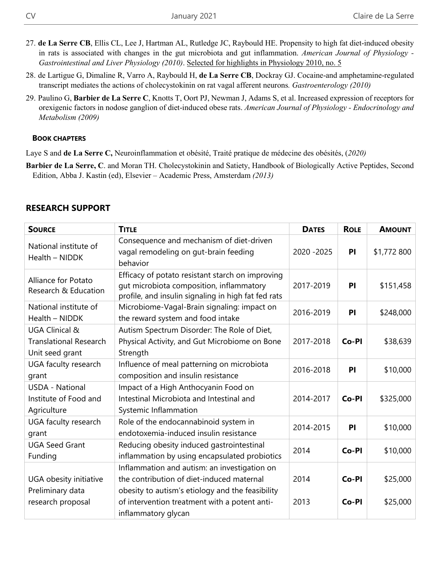- 27. **de La Serre CB**, Ellis CL, Lee J, Hartman AL, Rutledge JC, Raybould HE. Propensity to high fat diet-induced obesity in rats is associated with changes in the gut microbiota and gut inflammation. *American Journal of Physiology - Gastrointestinal and Liver Physiology (2010)*. Selected for highlights in Physiology 2010, no. 5
- 28. de Lartigue G, Dimaline R, Varro A, Raybould H, **de La Serre CB**, Dockray GJ. Cocaine-and amphetamine-regulated transcript mediates the actions of cholecystokinin on rat vagal afferent neurons*. Gastroenterology (2010)*
- 29. Paulino G, **Barbier de La Serre C**, Knotts T, Oort PJ, Newman J, Adams S, et al. Increased expression of receptors for orexigenic factors in nodose ganglion of diet-induced obese rats. *American Journal of Physiology - Endocrinology and Metabolism (2009)*

#### **BOOK CHAPTERS**

Laye S and **de La Serre C,** Neuroinflammation et obésité, Traité pratique de médecine des obésités, (*2020)*

**Barbier de La Serre, C**. and Moran TH. Cholecystokinin and Satiety, Handbook of Biologically Active Peptides, Second Edition, Abba J. Kastin (ed), Elsevier – Academic Press, Amsterdam *(2013)*

| <b>SOURCE</b>                                                                 | <b>TITLE</b>                                                                                                                                        | <b>DATES</b> | <b>ROLE</b> | <b>AMOUNT</b> |
|-------------------------------------------------------------------------------|-----------------------------------------------------------------------------------------------------------------------------------------------------|--------------|-------------|---------------|
| National institute of<br>Health - NIDDK                                       | Consequence and mechanism of diet-driven<br>vagal remodeling on gut-brain feeding<br>behavior                                                       | 2020 - 2025  | PI          | \$1,772 800   |
| Alliance for Potato<br>Research & Education                                   | Efficacy of potato resistant starch on improving<br>gut microbiota composition, inflammatory<br>profile, and insulin signaling in high fat fed rats | 2017-2019    | PI          | \$151,458     |
| National institute of<br>Health - NIDDK                                       | Microbiome-Vagal-Brain signaling: impact on<br>the reward system and food intake                                                                    | 2016-2019    | PI          | \$248,000     |
| <b>UGA Clinical &amp;</b><br><b>Translational Research</b><br>Unit seed grant | Autism Spectrum Disorder: The Role of Diet,<br>Physical Activity, and Gut Microbiome on Bone<br>Strength                                            | 2017-2018    | Co-PI       | \$38,639      |
| UGA faculty research<br>grant                                                 | Influence of meal patterning on microbiota<br>composition and insulin resistance                                                                    | 2016-2018    | PI          | \$10,000      |
| <b>USDA - National</b><br>Institute of Food and<br>Agriculture                | Impact of a High Anthocyanin Food on<br>Intestinal Microbiota and Intestinal and<br>Systemic Inflammation                                           | 2014-2017    | Co-PI       | \$325,000     |
| UGA faculty research<br>grant                                                 | Role of the endocannabinoid system in<br>endotoxemia-induced insulin resistance                                                                     | 2014-2015    | PI          | \$10,000      |
| <b>UGA Seed Grant</b><br>Funding                                              | Reducing obesity induced gastrointestinal<br>inflammation by using encapsulated probiotics                                                          | 2014         | Co-PI       | \$10,000      |
| UGA obesity initiative<br>Preliminary data                                    | Inflammation and autism: an investigation on<br>the contribution of diet-induced maternal<br>obesity to autism's etiology and the feasibility       | 2014         | Co-PI       | \$25,000      |
| research proposal                                                             | of intervention treatment with a potent anti-<br>inflammatory glycan                                                                                | 2013         | Co-PI       | \$25,000      |

### **RESEARCH SUPPORT**